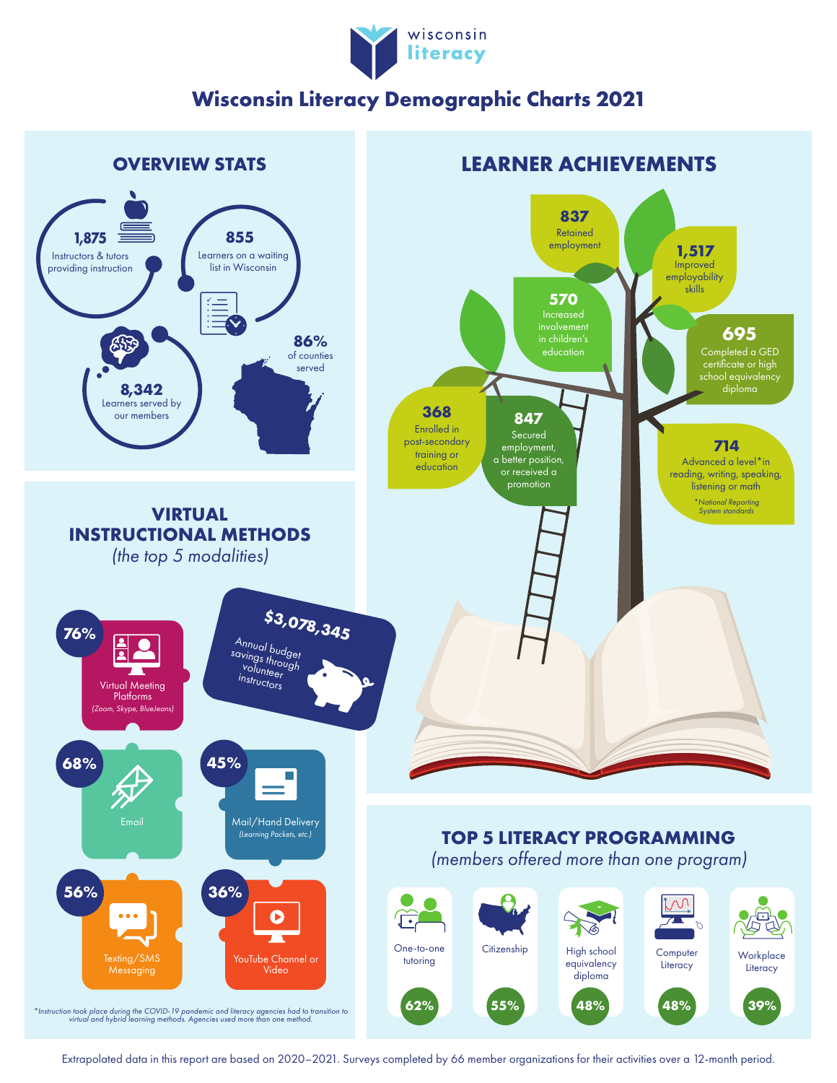

## **Wisconsin Literacy Demographic Charts 2021**



Extrapolated data in this report are based on 2020–2021. Surveys completed by 66 member organizations for their activities over a 12-month period.